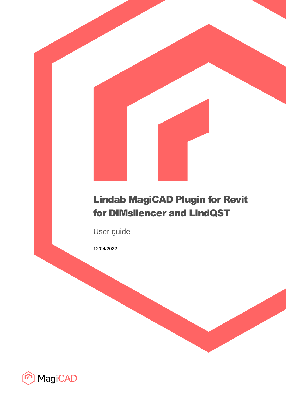# Lindab MagiCAD Plugin for Revit for DIMsilencer and LindQST

User guide

12/04/2022

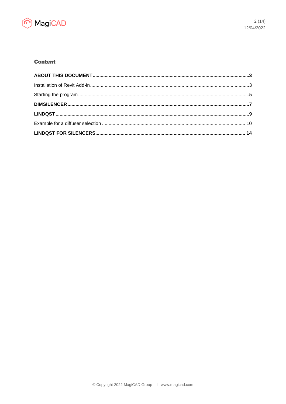

# **Content**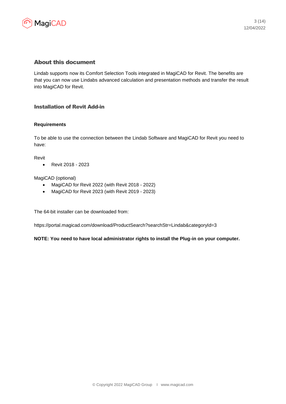

# About this document

Lindab supports now its Comfort Selection Tools integrated in MagiCAD for Revit. The benefits are that you can now use Lindabs advanced calculation and presentation methods and transfer the result into MagiCAD for Revit.

# Installation of Revit Add-in

#### **Requirements**

To be able to use the connection between the Lindab Software and MagiCAD for Revit you need to have:

Revit

• Revit 2018 - 2023

MagiCAD (optional)

- MagiCAD for Revit 2022 (with Revit 2018 2022)
- MagiCAD for Revit 2023 (with Revit 2019 2023)

The 64-bit installer can be downloaded from:

https://portal.magicad.com/download/ProductSearch?searchStr=Lindab&categoryId=3

**NOTE: You need to have local administrator rights to install the Plug-in on your computer.**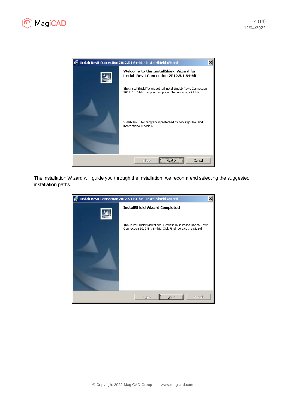



The installation Wizard will guide you through the installation; we recommend selecting the suggested installation paths.

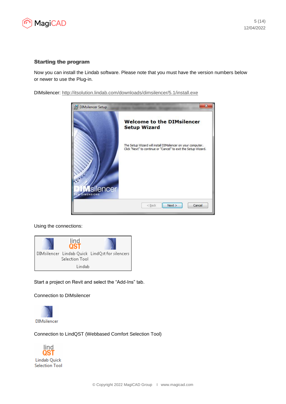

#### Starting the program

Now you can install the Lindab software. Please note that you must have the version numbers below or newer to use the Plug-in.

DIMsilencer:<http://itsolution.lindab.com/downloads/dimsilencer/5.1/install.exe>



Using the connections:



Start a project on Revit and select the "Add-Ins" tab.

Connection to DIMsilencer



Connection to LindQST (Webbased Comfort Selection Tool)

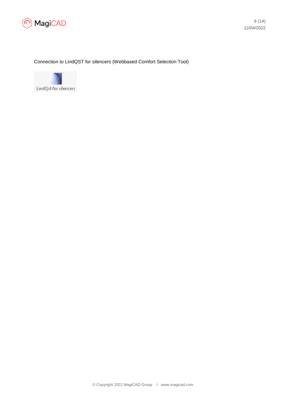

Connection to LindQST for silencers (Webbased Comfort Selection Tool)

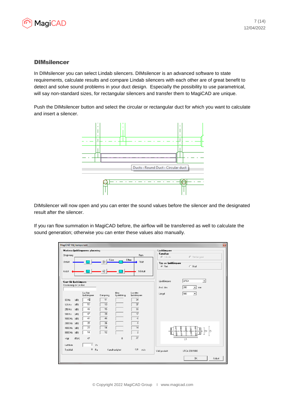

### **DIMsilencer**

In DIMsilencer you can select Lindab silencers. DIMsilencer is an advanced software to state requirements, calculate results and compare Lindab silencers with each other are of great benefit to detect and solve sound problems in your duct design. Especially the possibility to use parametrical, will say non-standard sizes, for rectangular silencers and transfer them to MagiCAD are unique.

Push the DIMsilencer button and select the circular or rectangular duct for which you want to calculate and insert a silencer.



DIMsilencer will now open and you can enter the sound values before the silencer and the designated result after the silencer.

If you ran flow summation in MagiCAD before, the airflow will be transferred as well to calculate the sound generation; otherwise you can enter these values also manually.

| MagiCAD Välj komponent       |                                    |                                                | $\vert \mathbf{z}_i \vert$                                                       |
|------------------------------|------------------------------------|------------------------------------------------|----------------------------------------------------------------------------------|
| Omgivning                    | Markera ljuddämparens placering    | <b>Rum</b>                                     | Ljuddämpare <sup>-</sup><br>Kanaltyp <sup>-</sup><br>C Rektangulär<br>C Cirkulär |
| Uteluft                      | Före                               | Efter<br>Tilluft                               | Typ av ljuddämpare<br>$C$ Böjd<br>C Rak                                          |
| Avluft                       |                                    | Frånluft                                       |                                                                                  |
| Krav för ljuddämpare         |                                    |                                                | LRCA<br>Ljuddämpare<br>٠                                                         |
| Beskrivning av Lw före       |                                    |                                                | 200<br>$\overline{\phantom{a}}$<br>Ansl. dim:<br>mm                              |
|                              | Lw fore<br>Dämpning<br>ljuddämpare | Max<br>Lw efter<br>Ljudalstring<br>ljuddämpare | 500<br>$\blacktriangledown$<br>Längd                                             |
| (dB)<br>63 Hz                | 45<br>11                           | 34                                             |                                                                                  |
| (dB)<br>125 Hz               | 50<br>13                           | 37                                             |                                                                                  |
| (dB)<br>250 Hz               | 15<br>48                           | $\overline{33}$                                |                                                                                  |
| 500 Hz<br>(dB)               | 47<br>30                           | 17                                             |                                                                                  |
| (dB)<br>1000 Hz              | 40<br>46                           | $-\epsilon$                                    |                                                                                  |
| 2000 Hz (dB)                 | 35<br>36<br>28<br>14               | $\overline{1}$<br>14                           |                                                                                  |
| 4000 Hz (dB)<br>8000 Hz (dB) | 14<br>12                           | $\overline{2}$                                 | In<br>n                                                                          |
| dB(A)<br>vägt                | 47                                 | 27<br>$\mathbf 0$                              | L1                                                                               |
| Luftflöde                    | $\overline{0}$<br>1/s              |                                                |                                                                                  |
| Tryckfall:                   | $0$ $Pa$                           | 0.0<br>m/s<br>Kanalhastighet                   | Vald produkt<br>LRCA 200 1000                                                    |
|                              |                                    |                                                | <b>OK</b><br>Avbryt                                                              |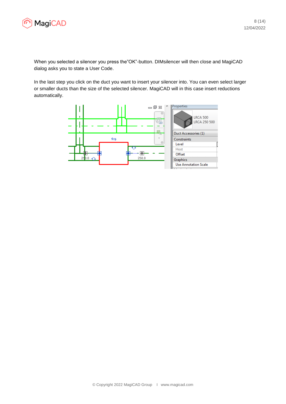

When you selected a silencer you press the"OK"-button. DIMsilencer will then close and MagiCAD dialog asks you to state a User Code.

In the last step you click on the duct you want to insert your silencer into. You can even select larger or smaller ducts than the size of the selected silencer. MagiCAD will in this case insert reductions automatically.

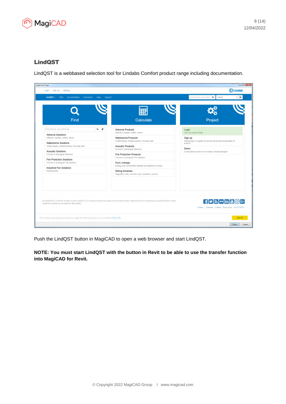

# LindQST

LindQST is a webbased selection tool for Lindabs Comfort product range including documentation.

| lindQST -<br>Start<br>Documentation<br>Downloads<br><b>News</b><br>Support |                                                                                                                                                                                           | $\alpha$<br>find products, document<br>Global<br>$\sqrt{9}$                    |
|----------------------------------------------------------------------------|-------------------------------------------------------------------------------------------------------------------------------------------------------------------------------------------|--------------------------------------------------------------------------------|
| Find                                                                       | Calculate                                                                                                                                                                                 | Project                                                                        |
| $\alpha$<br>$\epsilon$<br>find products, documents etc.                    | <b>Airborne Products</b><br>Diffusers, Nozzles, Grilles, Valves                                                                                                                           | Login<br>Your own project folder                                               |
| Airborne Solutions<br>Diffusers, Nozzles, Grilles, Valves                  | Waterborne Products<br>Chilled beams, Radiant panels, Fascade units                                                                                                                       | Sign up<br>Please login or register to use the advanced functionalities of     |
| Waterborne Solutions<br>Chilled beams, Radiant panels, Fascade units       | <b>Acoustic Products</b>                                                                                                                                                                  | lindQST.<br>Demo                                                               |
| <b>Acoustic Solutions</b><br>Circular & rectangular Silencers              | Circular & rectangular Silencers<br><b>Fire Protection Products</b>                                                                                                                       | Try the demo version of our Indoor Climate Designer                            |
| <b>Fire Protection Solutions</b><br>Circular & rectangular Fire dampers    | Circular & rectangular Fire dampers<br>Duct Leakage                                                                                                                                       |                                                                                |
| Industrial Fan Solutions<br>Industrial fans                                | Energy and cost benefits between duct tightness classes<br>Wiring Schemes<br>Regulation units, connect cards, actuators, sensors                                                          |                                                                                |
|                                                                            |                                                                                                                                                                                           |                                                                                |
| Lindab if you wish to use our material in other matters.                   | @ Copyright 2017, Lindab AB. All rights reserved. lindQST.com is owned by Lindab AB all images, technical data and other material found on this site belongs to Lindab AB. Please contact | $fD_N\cdot in$ $O_G$<br>Eurovent Cookies Terms of use v5.1.0.170713<br>Contact |

Push the LindQST button in MagiCAD to open a web browser and start LindQST.

**NOTE: You must start LindQST with the button in Revit to be able to use the transfer function into MagiCAD for Revit.**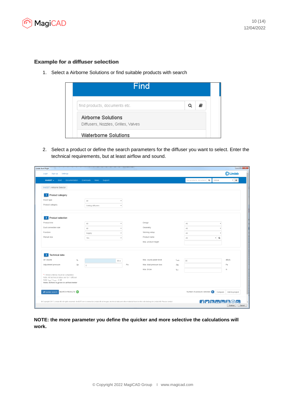

#### Example for a diffuser selection

1. Select a Airborne Solutions or find suitable products with search



2. Select a product or define the search parameters for the diffuser you want to select. Enter the technical requirements, but at least airflow and sound.

| Sign up<br>Settings<br>Login                                                                                                                                       |                         |                              |                     |                                                                                                                                                                                           |                 |                                       | CLindab                   |
|--------------------------------------------------------------------------------------------------------------------------------------------------------------------|-------------------------|------------------------------|---------------------|-------------------------------------------------------------------------------------------------------------------------------------------------------------------------------------------|-----------------|---------------------------------------|---------------------------|
| $lindOST -$<br>Start                                                                                                                                               | Documentation           | Downloads<br>Support<br>News |                     |                                                                                                                                                                                           |                 | find products, document   Q<br>Global | $\mathbf{v}$ $\mathbf{Q}$ |
| lindQST / Airborne Selector                                                                                                                                        |                         |                              |                     |                                                                                                                                                                                           |                 |                                       |                           |
| Product category<br>1 <sup>1</sup>                                                                                                                                 |                         |                              |                     |                                                                                                                                                                                           |                 |                                       |                           |
| Room type                                                                                                                                                          |                         | $\mathbb{A}\mathbb{II}$      |                     |                                                                                                                                                                                           |                 |                                       |                           |
| Product category                                                                                                                                                   |                         | Ceiling diffusers            |                     |                                                                                                                                                                                           |                 |                                       |                           |
| 2 Product selection                                                                                                                                                |                         |                              |                     |                                                                                                                                                                                           |                 |                                       |                           |
| Product line                                                                                                                                                       |                         | $\mathbb{A}\mathbb{I}$       |                     | Design                                                                                                                                                                                    |                 | All                                   |                           |
| Duct connection size                                                                                                                                               |                         | $\mathbb{A}\mathbb{I}$       |                     | Geometry                                                                                                                                                                                  |                 | All                                   |                           |
| Function                                                                                                                                                           |                         | Supply                       |                     | Working setup                                                                                                                                                                             |                 | All                                   |                           |
| Plenum box                                                                                                                                                         |                         | Yes                          |                     | Product name                                                                                                                                                                              |                 | $\cdot$ Q<br>All                      |                           |
|                                                                                                                                                                    |                         |                              |                     | Max. product height                                                                                                                                                                       |                 |                                       |                           |
| 3 Technical data                                                                                                                                                   |                         |                              |                     |                                                                                                                                                                                           |                 |                                       |                           |
| Air volume                                                                                                                                                         | $\mathbb{Q}_\mathbb{V}$ |                              | $ /\mathbb{S} \neq$ | Max. sound power level                                                                                                                                                                    | L <sub>WA</sub> | 35                                    | dB(A)                     |
| Adjustment pressure                                                                                                                                                | $\triangle \mathsf{p}$  | 0                            | Pa                  | Max. total pressure loss                                                                                                                                                                  | $\triangle$ Pr  |                                       | Pa                        |
|                                                                                                                                                                    |                         |                              |                     | Max. throw                                                                                                                                                                                | 10.2            |                                       | m                         |
| * = these criterias must be completed<br>Note: All technical datas are for 1 diffuser<br>Note: $L_{pA} = L_{wA} - 4$ dB<br>Note: Airflow is given in airflow/meter |                         |                              |                     |                                                                                                                                                                                           |                 |                                       |                           |
| C Update search SEARCH RESULTS: 0                                                                                                                                  |                         |                              |                     |                                                                                                                                                                                           |                 | Number of products selected: 0        | Compare Add to project    |
|                                                                                                                                                                    |                         |                              |                     | @ Copyright 2017, Lindab AB. All rights reserved. lindQST.com is owned by Lindab AB all images, technical data and other material found on this site belongs to Lindab AB. Please contact |                 | <b>Hy No in AO</b> G                  |                           |

**NOTE: the more parameter you define the quicker and more selective the calculations will work.**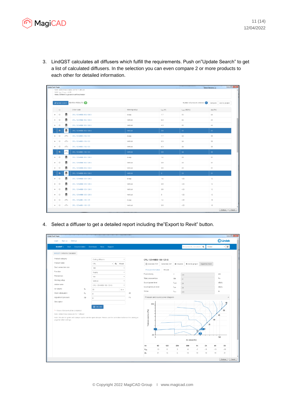

3. LindQST calculates all diffusers which fulfill the requirements. Push on"Update Search" to get a list of calculated diffusers. In the selection you can even compare 2 or more products to each other for detailed information.

|                       | Lindab Revit Plugin<br><b>WIND WORK &amp; I</b><br>Note: All technical datas are for 1 diffuser                            |                                               |                                         |               |                         |                  |                   |  |  |  |
|-----------------------|----------------------------------------------------------------------------------------------------------------------------|-----------------------------------------------|-----------------------------------------|---------------|-------------------------|------------------|-------------------|--|--|--|
|                       |                                                                                                                            | Note: $L_{\text{DA}} = L_{\text{W.A}} - 4$ dB | Note: Airflow is given in airflow/meter |               |                         |                  |                   |  |  |  |
|                       | SEARCH RESULTS: 40<br>Number of products selected: 3<br>$\boldsymbol{\mathcal{C}}$ Update search<br>Compare Add to project |                                               |                                         |               |                         |                  |                   |  |  |  |
|                       | $\qquad \qquad \Box$                                                                                                       |                                               | Order code                              | Working setup | $L_{02}$ [m]            | $L_{wA}$ [dB(A)] | $\Delta p_t$ [Pa] |  |  |  |
| ٠                     | $\qquad \qquad \qquad \qquad \qquad \qquad \qquad \qquad \qquad$                                                           | ₿                                             | CRL-100+MBB-100-100-S                   | 4-way         | 1.7                     | 35               | 44                |  |  |  |
| ٠                     | $\qquad \qquad \qquad \qquad \qquad \qquad \qquad \qquad \qquad$                                                           | o                                             | CRL-100+MBB-100-100-S                   | Vertical      | 5.3                     | 35               | 44                |  |  |  |
| ٠                     | $\qquad \qquad \qquad \qquad \qquad \qquad \qquad \qquad \qquad \qquad$                                                    | ₫                                             | CRL-100+MBB-100-100-S                   | Vertical      | 4.3                     | 35               | 44                |  |  |  |
|                       | $\blacksquare$                                                                                                             | ₿                                             | CRL-100+MBB-100-100-S                   | Vertical      | 3.8                     | 35 <sub>1</sub>  | 44 <sup>°</sup>   |  |  |  |
| ٠                     | $\qquad \qquad \qquad \qquad \qquad \qquad \qquad \qquad \qquad \qquad$                                                    | in the                                        | CRL-100+MBC-100-100                     | 4-way         | 1.7                     | $24\,$           | 38                |  |  |  |
| ٠                     | $\qquad \qquad \qquad \qquad \qquad \qquad \qquad \qquad \qquad \qquad$                                                    | e‰                                            | CRL-100+MBC-100-100                     | Vertical      | 5.3                     | 24               | 38                |  |  |  |
| $\blacktriangleright$ | $\qquad \qquad \qquad \qquad \qquad \qquad \qquad$                                                                         | ó                                             | CRL-100+MBC-100-100                     | Vertical      | 4.3                     | 24               | 38                |  |  |  |
|                       | $\blacksquare$                                                                                                             | r.                                            | CRL-100+MBC-100-100                     | Vertical      | 3.8                     | 24               | 38                |  |  |  |
| ٠                     | $\qquad \qquad \Box$                                                                                                       | ₫                                             | CRL-125+MBB-100-125-S                   | 4-way         | 1.4                     | 28               | 31                |  |  |  |
| ٠                     | $\qquad \qquad \qquad \qquad \qquad \qquad \qquad \qquad \qquad$                                                           | 阊                                             | CRL-125+MBB-100-125-S                   | Vertical      | 3.9                     | 28               | 31                |  |  |  |
| ٠                     | $\qquad \qquad \qquad \qquad \qquad \qquad \qquad \qquad \qquad \qquad$                                                    | ₿                                             | CRL-125+MBB-100-125-S                   | Vertical      | 3.5                     | 28               | 31                |  |  |  |
|                       | $\blacksquare$                                                                                                             | ₿                                             | CRL-125+MBB-100-125-S                   | Vertical      | $\overline{\mathbf{3}}$ | 28               | 31 <sup>°</sup>   |  |  |  |
| ٠                     | $\qquad \qquad \qquad \qquad \qquad \qquad \qquad \qquad \qquad \qquad$                                                    | ₿                                             | CRL-125+MBB-125-125-S                   | 4-way         | 1.4                     | $20$             | 12                |  |  |  |
| ٠                     | $\qquad \qquad \qquad \qquad \qquad \qquad$                                                                                | ₿                                             | CRL-125+MBB-125-125-S                   | Vertical      | 3.9                     | $20$             | 12                |  |  |  |
| ٠                     | $\qquad \qquad \Box$                                                                                                       | ₿                                             | CRL-125+MBB-125-125-S                   | Vertical      | 3.5                     | < 20             | 12                |  |  |  |
| $\blacktriangleright$ | $\qquad \qquad \Box$                                                                                                       | ₿                                             | CRL-125+MBB-125-125-S                   | Vertical      | 3                       | < 20             | 12                |  |  |  |
| $\mathbf{r}$          | $\qquad \qquad \Box$                                                                                                       | e.                                            | CRL-125+MBC-100-125                     | 4-way         | 1.4                     | < 20             | 18                |  |  |  |
| ٠                     | $\qquad \qquad \qquad \qquad \qquad \qquad$                                                                                | r.                                            | CRL-125+MBC-100-125                     | Vertical      | 3.9                     | < 20             | 18                |  |  |  |

4. Select a diffuser to get a detailed report including the"Export to Revit" button.

| Lindab Revit Plugin                                                                                                                                                                                                                                      |               |                          |                |         |    |                                           |          |                                  |                    |                           |            |                 |                |                 |
|----------------------------------------------------------------------------------------------------------------------------------------------------------------------------------------------------------------------------------------------------------|---------------|--------------------------|----------------|---------|----|-------------------------------------------|----------|----------------------------------|--------------------|---------------------------|------------|-----------------|----------------|-----------------|
| Login<br>Sign up<br>Settings                                                                                                                                                                                                                             |               |                          |                |         |    |                                           |          |                                  |                    |                           |            |                 |                | <b>C</b> Lindab |
| lindQST $\div$<br><b>Start</b>                                                                                                                                                                                                                           | Documentation | Downloads<br><b>News</b> | Support        |         |    |                                           |          |                                  |                    | find products, document Q |            | Global          |                | $\cdot$ 0       |
| lindQST / Airborne Calculator                                                                                                                                                                                                                            |               |                          |                |         |    |                                           |          |                                  |                    |                           |            |                 |                |                 |
| Product category                                                                                                                                                                                                                                         |               | Ceiling diffusers        |                |         |    | CRL-125+MBB-100-125-S                     |          |                                  |                    |                           |            |                 |                |                 |
| Product name                                                                                                                                                                                                                                             |               | CRL                      | $\overline{a}$ | Reset   |    | A Generate PDF                            |          | Generate DXF                     | <b>B</b> Visualize | + Add to project          |            | Export to Revit |                |                 |
| Duct connection size                                                                                                                                                                                                                                     |               | 100                      |                |         |    | Product information                       |          | Results                          |                    |                           |            |                 |                |                 |
| Function                                                                                                                                                                                                                                                 |               | Supply                   |                |         |    | Face velocity                             |          |                                  | v                  |                           |            |                 | m/s            |                 |
| Plenum box                                                                                                                                                                                                                                               |               | Yes                      |                |         |    | Total pressure loss                       |          |                                  | $\triangle p_{l}$  | 2.6                       |            |                 | Pa             |                 |
| Working setup                                                                                                                                                                                                                                            |               | Vertical                 |                |         |    | Sound power level                         |          |                                  | Lwa                | 31                        |            |                 |                | dB(A)           |
| Article name                                                                                                                                                                                                                                             |               | CRL-125+MBB-100-125-S    |                |         |    | Sound pressure level                      |          |                                  | $L_{\text{BA}}$    | 28                        |            |                 |                | dB(A)           |
| Air volume                                                                                                                                                                                                                                               | $Q_{\rm{p}}$  | 25                       |                | $1/5 -$ |    | Throw                                     |          |                                  |                    | 28                        |            |                 | $^{\rm m}$     |                 |
| Room attenuation                                                                                                                                                                                                                                         | D,            | $\,0$                    |                |         | dB |                                           |          |                                  | $L_{0.2}$          | 3.9                       |            |                 |                |                 |
| Adjustment pressure                                                                                                                                                                                                                                      | Δo            | $\,0$                    |                |         | Pa |                                           |          | Pressure and sound power diagram |                    |                           |            |                 |                | $\lambda$       |
| Description<br>* = these criterias must be completed<br>Note: All technical datas are for 1 diffuser<br>Note: Results for grilles with damper option are for open damper. Please use the correction factors in the catalogue<br>page for other settings. |               | Calculate                |                |         |    | $200 -$<br>Total pressure loss [Pa]<br>20 | 5        |                                  |                    |                           | 25         | 35              | 45<br>40<br>50 | 55<br>50        |
|                                                                                                                                                                                                                                                          |               |                          |                |         |    |                                           |          |                                  |                    | Air volume [I/s]          |            |                 |                |                 |
|                                                                                                                                                                                                                                                          |               |                          |                |         |    | Hz<br>$K_{\alpha k}$                      | 63<br>13 | 125<br>8                         | 250<br>3           | 500<br>$-5$               | 1K<br>$-7$ | 2K<br>$-11$     | 4K<br>$-15$    | 8K<br>$-19$     |
|                                                                                                                                                                                                                                                          |               |                          |                |         |    | $\Delta L$                                | 21       | 16                               | 6                  | 18                        | 19         | 18              | 19             | 21              |
|                                                                                                                                                                                                                                                          |               |                          |                |         |    |                                           |          |                                  |                    |                           |            |                 |                | Continue        |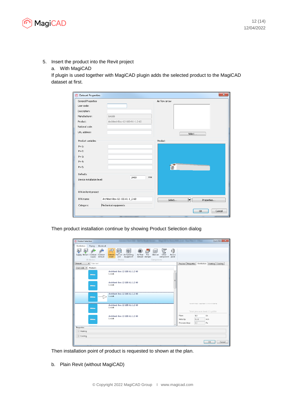

- 5. Insert the product into the Revit project
	- a. With MagiCAD

If plugin is used together with MagiCAD plugin adds the selected product to the MagiCAD dataset at first.

| General Properties         |                                | Air flow arrow            |
|----------------------------|--------------------------------|---------------------------|
| User code:                 |                                |                           |
| Description:               |                                |                           |
| Manufacturer:              | Lindab                         |                           |
| Product:                   | Architect-Box-12-100-A1-1.2-60 |                           |
| National code:             |                                |                           |
| URL address:               |                                | Select                    |
| Product variables          |                                | Product                   |
| $Pv-1$ :                   |                                |                           |
| $Pv-2$ :                   |                                |                           |
| $Pv-3$ :                   |                                |                           |
| $Pv-4$ :                   |                                |                           |
| $Pv-5$ :                   |                                | Œ                         |
| Defaults                   |                                |                           |
| Device installation level: | mm<br>2400                     |                           |
| RFA in Revit project       |                                |                           |
| RFA name:                  | Architect-Box-12-100-A1-1_2-60 | ↓<br>Select<br>Properties |
| Category:                  | Mechanical equipments          |                           |

Then product installation continue by showing Product Selection dialog

| <b>Product Selection</b>                                           |                                                                                                              |                                   |                                                                      |              |                |                                                                              | $\mathbf{x}$<br>$\begin{array}{c c c c c} \hline \multicolumn{1}{c }{\textbf{0}} & \multicolumn{1}{c }{\textbf{0}} \end{array}$ |
|--------------------------------------------------------------------|--------------------------------------------------------------------------------------------------------------|-----------------------------------|----------------------------------------------------------------------|--------------|----------------|------------------------------------------------------------------------------|---------------------------------------------------------------------------------------------------------------------------------|
| Ventilation<br>Piping<br>Electrical                                |                                                                                                              |                                   |                                                                      |              |                |                                                                              |                                                                                                                                 |
| Supply Extract Outdoor Outdoor<br>exhaust<br>supply<br>Air devices | <u>I</u><br>$\bigcirc$<br>₩Ξ<br>Climate Fan coil Air handling<br>unit<br>beam<br>equipment<br><b>Devices</b> | Air flow<br>Fire<br>damper damper | n‰<br>¦⊗<br>画,<br>Silencer<br>Other<br>component panel<br>Components | O)<br>Access |                |                                                                              |                                                                                                                                 |
| $\blacksquare$ Filter text<br><b>Dataset</b>                       |                                                                                                              |                                   |                                                                      |              | Preview        |                                                                              | Properties Ventilation Heating Cooling                                                                                          |
| Products<br>User code v                                            |                                                                                                              |                                   |                                                                      |              |                |                                                                              |                                                                                                                                 |
| <b>Comment</b>                                                     | Architect-Box-12-100-A1-1.2-60<br>Lindab                                                                     |                                   |                                                                      |              |                |                                                                              |                                                                                                                                 |
| <b>Classics</b>                                                    | Architect-Box-12-100-A1-1.2-60<br>Lindab                                                                     |                                   |                                                                      | Ξ            |                |                                                                              |                                                                                                                                 |
|                                                                    | Architect-Box-12-100-A1-1.2-60<br>Lindab                                                                     |                                   |                                                                      |              |                |                                                                              |                                                                                                                                 |
|                                                                    | Architect-Box-12-100-A1-1.2-60<br>Lindah                                                                     |                                   |                                                                      |              |                | Southern market Supported LTD out of Farmer<br>Total pressure level: 0 Lp10A |                                                                                                                                 |
|                                                                    |                                                                                                              |                                   |                                                                      |              | Flow:          | 0.0                                                                          | 1/s                                                                                                                             |
| <b>Change</b>                                                      | Architect-Box-12-100-A1-1.2-60<br>Lindah                                                                     |                                   |                                                                      |              | Velocity:      | NaN                                                                          | m/s                                                                                                                             |
|                                                                    |                                                                                                              |                                   |                                                                      |              | Pressure drop: | 0,0                                                                          | Pa                                                                                                                              |
| Properties                                                         |                                                                                                              |                                   |                                                                      |              |                |                                                                              |                                                                                                                                 |
| $(\vee)$ Heating                                                   |                                                                                                              |                                   |                                                                      |              |                |                                                                              |                                                                                                                                 |
| $(\checkmark)$ Cooling                                             |                                                                                                              |                                   |                                                                      |              |                |                                                                              |                                                                                                                                 |
|                                                                    |                                                                                                              |                                   |                                                                      |              |                |                                                                              | OK<br>Cancel                                                                                                                    |

Then installation point of product is requested to shown at the plan.

b. Plain Revit (without MagiCAD)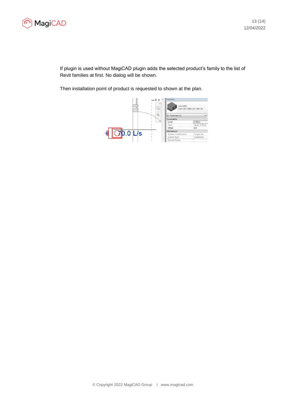

If plugin is used without MagiCAD plugin adds the selected product's family to the list of Revit families at first. No dialog will be shown.

Then installation point of product is requested to shown at the plan.